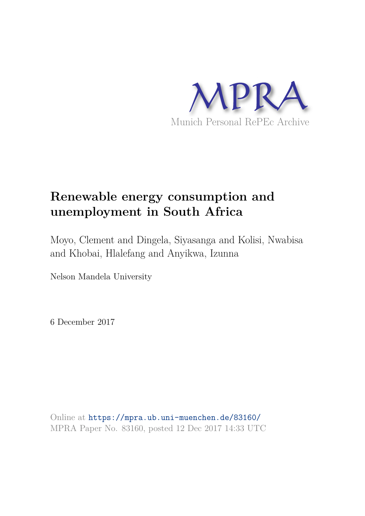

# **Renewable energy consumption and unemployment in South Africa**

Moyo, Clement and Dingela, Siyasanga and Kolisi, Nwabisa and Khobai, Hlalefang and Anyikwa, Izunna

Nelson Mandela University

6 December 2017

Online at https://mpra.ub.uni-muenchen.de/83160/ MPRA Paper No. 83160, posted 12 Dec 2017 14:33 UTC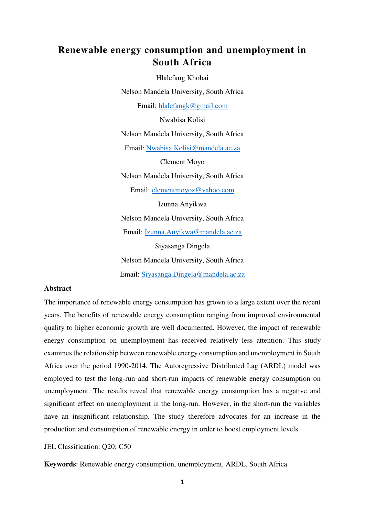# **Renewable energy consumption and unemployment in South Africa**

Hlalefang Khobai Nelson Mandela University, South Africa Email: [hlalefangk@gmail.com](mailto:hlalefangk@gmail.com) Nwabisa Kolisi Nelson Mandela University, South Africa Email: [Nwabisa.Kolisi@mandela.ac.za](mailto:Nwabisa.Kolisi@mandela.ac.za) Clement Moyo Nelson Mandela University, South Africa Email: [clementmoyoz@yahoo.com](mailto:clementmoyoz@yahoo.com)  Izunna Anyikwa Nelson Mandela University, South Africa Email: [Izunna.Anyikwa@mandela.ac.za](mailto:Izunna.Anyikwa@mandela.ac.za) Siyasanga Dingela Nelson Mandela University, South Africa Email: [Siyasanga.Dingela@mandela.ac.za](mailto:Siyasanga.Dingela@mandela.ac.za)

#### **Abstract**

The importance of renewable energy consumption has grown to a large extent over the recent years. The benefits of renewable energy consumption ranging from improved environmental quality to higher economic growth are well documented. However, the impact of renewable energy consumption on unemployment has received relatively less attention. This study examines the relationship between renewable energy consumption and unemployment in South Africa over the period 1990-2014. The Autoregressive Distributed Lag (ARDL) model was employed to test the long-run and short-run impacts of renewable energy consumption on unemployment. The results reveal that renewable energy consumption has a negative and significant effect on unemployment in the long-run. However, in the short-run the variables have an insignificant relationship. The study therefore advocates for an increase in the production and consumption of renewable energy in order to boost employment levels.

#### JEL Classification: Q20; C50

**Keywords**: Renewable energy consumption, unemployment, ARDL, South Africa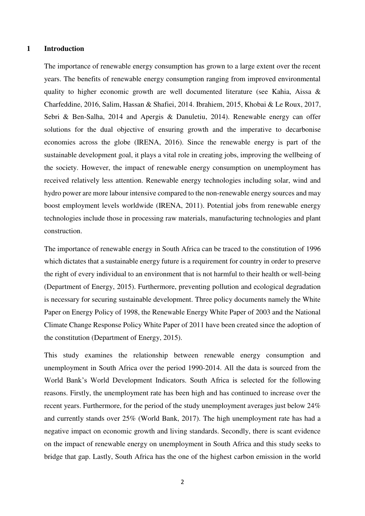#### **1 Introduction**

The importance of renewable energy consumption has grown to a large extent over the recent years. The benefits of renewable energy consumption ranging from improved environmental quality to higher economic growth are well documented literature (see Kahia, Aissa & Charfeddine, 2016, Salim, Hassan & Shafiei, 2014. Ibrahiem, 2015, Khobai & Le Roux, 2017, Sebri & Ben-Salha, 2014 and Apergis & Danuletiu, 2014). Renewable energy can offer solutions for the dual objective of ensuring growth and the imperative to decarbonise economies across the globe (IRENA, 2016). Since the renewable energy is part of the sustainable development goal, it plays a vital role in creating jobs, improving the wellbeing of the society. However, the impact of renewable energy consumption on unemployment has received relatively less attention. Renewable energy technologies including solar, wind and hydro power are more labour intensive compared to the non-renewable energy sources and may boost employment levels worldwide (IRENA, 2011). Potential jobs from renewable energy technologies include those in processing raw materials, manufacturing technologies and plant construction.

The importance of renewable energy in South Africa can be traced to the constitution of 1996 which dictates that a sustainable energy future is a requirement for country in order to preserve the right of every individual to an environment that is not harmful to their health or well-being (Department of Energy, 2015). Furthermore, preventing pollution and ecological degradation is necessary for securing sustainable development. Three policy documents namely the White Paper on Energy Policy of 1998, the Renewable Energy White Paper of 2003 and the National Climate Change Response Policy White Paper of 2011 have been created since the adoption of the constitution (Department of Energy, 2015).

This study examines the relationship between renewable energy consumption and unemployment in South Africa over the period 1990-2014. All the data is sourced from the World Bank's World Development Indicators. South Africa is selected for the following reasons. Firstly, the unemployment rate has been high and has continued to increase over the recent years. Furthermore, for the period of the study unemployment averages just below 24% and currently stands over 25% (World Bank, 2017). The high unemployment rate has had a negative impact on economic growth and living standards. Secondly, there is scant evidence on the impact of renewable energy on unemployment in South Africa and this study seeks to bridge that gap. Lastly, South Africa has the one of the highest carbon emission in the world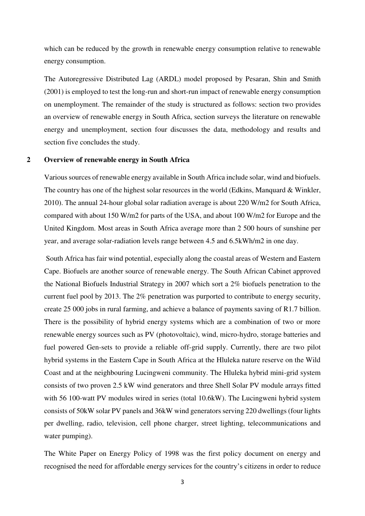which can be reduced by the growth in renewable energy consumption relative to renewable energy consumption.

The Autoregressive Distributed Lag (ARDL) model proposed by Pesaran, Shin and Smith (2001) is employed to test the long-run and short-run impact of renewable energy consumption on unemployment. The remainder of the study is structured as follows: section two provides an overview of renewable energy in South Africa, section surveys the literature on renewable energy and unemployment, section four discusses the data, methodology and results and section five concludes the study.

# **2 Overview of renewable energy in South Africa**

Various sources of renewable energy available in South Africa include solar, wind and biofuels. The country has one of the highest solar resources in the world (Edkins, Manquard & Winkler, 2010). The annual 24-hour global solar radiation average is about 220 W/m2 for South Africa, compared with about 150 W/m2 for parts of the USA, and about 100 W/m2 for Europe and the United Kingdom. Most areas in South Africa average more than 2 500 hours of sunshine per year, and average solar-radiation levels range between 4.5 and 6.5kWh/m2 in one day.

 South Africa has fair wind potential, especially along the coastal areas of Western and Eastern Cape. Biofuels are another source of renewable energy. The South African Cabinet approved the National Biofuels Industrial Strategy in 2007 which sort a 2% biofuels penetration to the current fuel pool by 2013. The 2% penetration was purported to contribute to energy security, create 25 000 jobs in rural farming, and achieve a balance of payments saving of R1.7 billion. There is the possibility of hybrid energy systems which are a combination of two or more renewable energy sources such as PV (photovoltaic), wind, micro-hydro, storage batteries and fuel powered Gen-sets to provide a reliable off-grid supply. Currently, there are two pilot hybrid systems in the Eastern Cape in South Africa at the Hluleka nature reserve on the Wild Coast and at the neighbouring Lucingweni community. The Hluleka hybrid mini-grid system consists of two proven 2.5 kW wind generators and three Shell Solar PV module arrays fitted with 56 100-watt PV modules wired in series (total 10.6kW). The Lucingweni hybrid system consists of 50kW solar PV panels and 36kW wind generators serving 220 dwellings (four lights per dwelling, radio, television, cell phone charger, street lighting, telecommunications and water pumping).

The White Paper on Energy Policy of 1998 was the first policy document on energy and recognised the need for affordable energy services for the country's citizens in order to reduce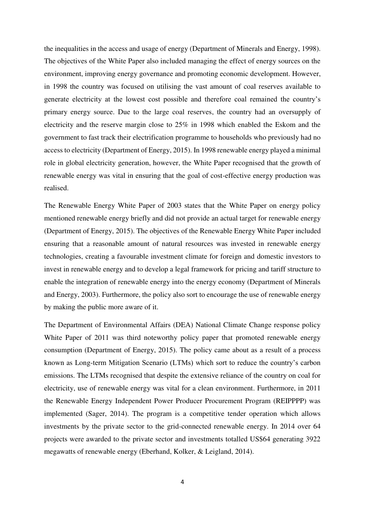the inequalities in the access and usage of energy (Department of Minerals and Energy, 1998). The objectives of the White Paper also included managing the effect of energy sources on the environment, improving energy governance and promoting economic development. However, in 1998 the country was focused on utilising the vast amount of coal reserves available to generate electricity at the lowest cost possible and therefore coal remained the country's primary energy source. Due to the large coal reserves, the country had an oversupply of electricity and the reserve margin close to 25% in 1998 which enabled the Eskom and the government to fast track their electrification programme to households who previously had no access to electricity (Department of Energy, 2015). In 1998 renewable energy played a minimal role in global electricity generation, however, the White Paper recognised that the growth of renewable energy was vital in ensuring that the goal of cost-effective energy production was realised.

The Renewable Energy White Paper of 2003 states that the White Paper on energy policy mentioned renewable energy briefly and did not provide an actual target for renewable energy (Department of Energy, 2015). The objectives of the Renewable Energy White Paper included ensuring that a reasonable amount of natural resources was invested in renewable energy technologies, creating a favourable investment climate for foreign and domestic investors to invest in renewable energy and to develop a legal framework for pricing and tariff structure to enable the integration of renewable energy into the energy economy (Department of Minerals and Energy, 2003). Furthermore, the policy also sort to encourage the use of renewable energy by making the public more aware of it.

The Department of Environmental Affairs (DEA) National Climate Change response policy White Paper of 2011 was third noteworthy policy paper that promoted renewable energy consumption (Department of Energy, 2015). The policy came about as a result of a process known as Long-term Mitigation Scenario (LTMs) which sort to reduce the country's carbon emissions. The LTMs recognised that despite the extensive reliance of the country on coal for electricity, use of renewable energy was vital for a clean environment. Furthermore, in 2011 the Renewable Energy Independent Power Producer Procurement Program (REIPPPP) was implemented (Sager, 2014). The program is a competitive tender operation which allows investments by the private sector to the grid-connected renewable energy. In 2014 over 64 projects were awarded to the private sector and investments totalled US\$64 generating 3922 megawatts of renewable energy (Eberhand, Kolker, & Leigland, 2014).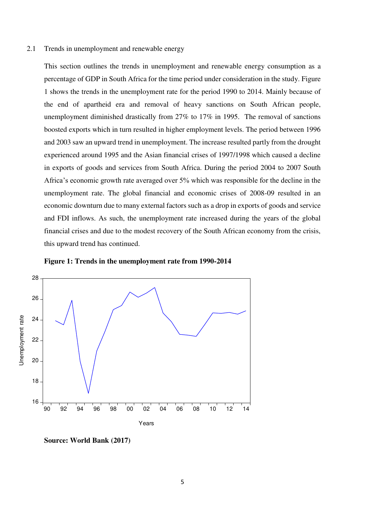#### 2.1 Trends in unemployment and renewable energy

This section outlines the trends in unemployment and renewable energy consumption as a percentage of GDP in South Africa for the time period under consideration in the study. Figure 1 shows the trends in the unemployment rate for the period 1990 to 2014. Mainly because of the end of apartheid era and removal of heavy sanctions on South African people, unemployment diminished drastically from 27% to 17% in 1995. The removal of sanctions boosted exports which in turn resulted in higher employment levels. The period between 1996 and 2003 saw an upward trend in unemployment. The increase resulted partly from the drought experienced around 1995 and the Asian financial crises of 1997/1998 which caused a decline in exports of goods and services from South Africa. During the period 2004 to 2007 South Africa's economic growth rate averaged over 5% which was responsible for the decline in the unemployment rate. The global financial and economic crises of 2008-09 resulted in an economic downturn due to many external factors such as a drop in exports of goods and service and FDI inflows. As such, the unemployment rate increased during the years of the global financial crises and due to the modest recovery of the South African economy from the crisis, this upward trend has continued.



**Figure 1: Trends in the unemployment rate from 1990-2014** 

**Source: World Bank (2017)**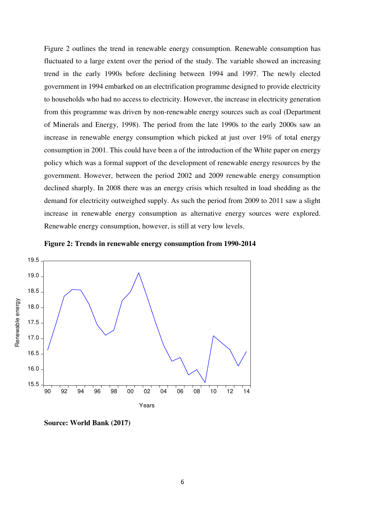Figure 2 outlines the trend in renewable energy consumption. Renewable consumption has fluctuated to a large extent over the period of the study. The variable showed an increasing trend in the early 1990s before declining between 1994 and 1997. The newly elected government in 1994 embarked on an electrification programme designed to provide electricity to households who had no access to electricity. However, the increase in electricity generation from this programme was driven by non-renewable energy sources such as coal (Department of Minerals and Energy, 1998). The period from the late 1990s to the early 2000s saw an increase in renewable energy consumption which picked at just over 19% of total energy consumption in 2001. This could have been a of the introduction of the White paper on energy policy which was a formal support of the development of renewable energy resources by the government. However, between the period 2002 and 2009 renewable energy consumption declined sharply. In 2008 there was an energy crisis which resulted in load shedding as the demand for electricity outweighed supply. As such the period from 2009 to 2011 saw a slight increase in renewable energy consumption as alternative energy sources were explored. Renewable energy consumption, however, is still at very low levels.







**Source: World Bank (2017)**

18.5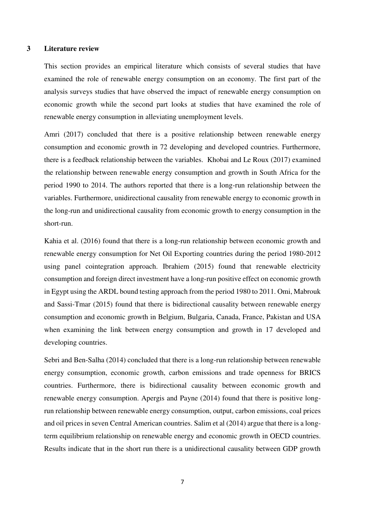#### **3 Literature review**

This section provides an empirical literature which consists of several studies that have examined the role of renewable energy consumption on an economy. The first part of the analysis surveys studies that have observed the impact of renewable energy consumption on economic growth while the second part looks at studies that have examined the role of renewable energy consumption in alleviating unemployment levels.

Amri (2017) concluded that there is a positive relationship between renewable energy consumption and economic growth in 72 developing and developed countries. Furthermore, there is a feedback relationship between the variables. Khobai and Le Roux (2017) examined the relationship between renewable energy consumption and growth in South Africa for the period 1990 to 2014. The authors reported that there is a long-run relationship between the variables. Furthermore, unidirectional causality from renewable energy to economic growth in the long-run and unidirectional causality from economic growth to energy consumption in the short-run.

Kahia et al. (2016) found that there is a long-run relationship between economic growth and renewable energy consumption for Net Oil Exporting countries during the period 1980-2012 using panel cointegration approach. Ibrahiem (2015) found that renewable electricity consumption and foreign direct investment have a long-run positive effect on economic growth in Egypt using the ARDL bound testing approach from the period 1980 to 2011. Omi, Mabrouk and Sassi-Tmar (2015) found that there is bidirectional causality between renewable energy consumption and economic growth in Belgium, Bulgaria, Canada, France, Pakistan and USA when examining the link between energy consumption and growth in 17 developed and developing countries.

Sebri and Ben-Salha (2014) concluded that there is a long-run relationship between renewable energy consumption, economic growth, carbon emissions and trade openness for BRICS countries. Furthermore, there is bidirectional causality between economic growth and renewable energy consumption. Apergis and Payne (2014) found that there is positive longrun relationship between renewable energy consumption, output, carbon emissions, coal prices and oil prices in seven Central American countries. Salim et al (2014) argue that there is a longterm equilibrium relationship on renewable energy and economic growth in OECD countries. Results indicate that in the short run there is a unidirectional causality between GDP growth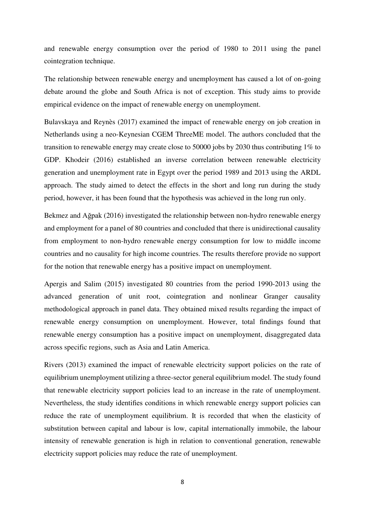and renewable energy consumption over the period of 1980 to 2011 using the panel cointegration technique.

The relationship between renewable energy and unemployment has caused a lot of on-going debate around the globe and South Africa is not of exception. This study aims to provide empirical evidence on the impact of renewable energy on unemployment.

Bulavskaya and Reynès (2017) examined the impact of renewable energy on job creation in Netherlands using a neo-Keynesian CGEM ThreeME model. The authors concluded that the transition to renewable energy may create close to 50000 jobs by 2030 thus contributing 1% to GDP. Khodeir (2016) established an inverse correlation between renewable electricity generation and unemployment rate in Egypt over the period 1989 and 2013 using the ARDL approach. The study aimed to detect the effects in the short and long run during the study period, however, it has been found that the hypothesis was achieved in the long run only.

Bekmez and Ağpak (2016) investigated the relationship between non-hydro renewable energy and employment for a panel of 80 countries and concluded that there is unidirectional causality from employment to non-hydro renewable energy consumption for low to middle income countries and no causality for high income countries. The results therefore provide no support for the notion that renewable energy has a positive impact on unemployment.

Apergis and Salim (2015) investigated 80 countries from the period 1990-2013 using the advanced generation of unit root, cointegration and nonlinear Granger causality methodological approach in panel data. They obtained mixed results regarding the impact of renewable energy consumption on unemployment. However, total findings found that renewable energy consumption has a positive impact on unemployment, disaggregated data across specific regions, such as Asia and Latin America.

Rivers (2013) examined the impact of renewable electricity support policies on the rate of equilibrium unemployment utilizing a three-sector general equilibrium model. The study found that renewable electricity support policies lead to an increase in the rate of unemployment. Nevertheless, the study identifies conditions in which renewable energy support policies can reduce the rate of unemployment equilibrium. It is recorded that when the elasticity of substitution between capital and labour is low, capital internationally immobile, the labour intensity of renewable generation is high in relation to conventional generation, renewable electricity support policies may reduce the rate of unemployment.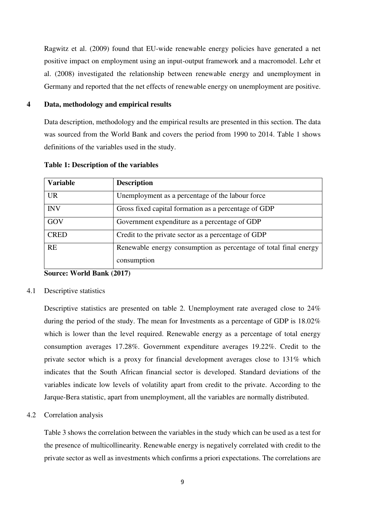Ragwitz et al. (2009) found that EU-wide renewable energy policies have generated a net positive impact on employment using an input-output framework and a macromodel. Lehr et al. (2008) investigated the relationship between renewable energy and unemployment in Germany and reported that the net effects of renewable energy on unemployment are positive.

# **4 Data, methodology and empirical results**

Data description, methodology and the empirical results are presented in this section. The data was sourced from the World Bank and covers the period from 1990 to 2014. Table 1 shows definitions of the variables used in the study.

| <b>Variable</b> | <b>Description</b>                                                              |
|-----------------|---------------------------------------------------------------------------------|
| <b>UR</b>       | Unemployment as a percentage of the labour force                                |
| <b>INV</b>      | Gross fixed capital formation as a percentage of GDP                            |
| GOV             | Government expenditure as a percentage of GDP                                   |
| <b>CRED</b>     | Credit to the private sector as a percentage of GDP                             |
| <b>RE</b>       | Renewable energy consumption as percentage of total final energy<br>consumption |

#### **Table 1: Description of the variables**

**Source: World Bank (2017)** 

4.1 Descriptive statistics

Descriptive statistics are presented on table 2. Unemployment rate averaged close to 24% during the period of the study. The mean for Investments as a percentage of GDP is 18.02% which is lower than the level required. Renewable energy as a percentage of total energy consumption averages 17.28%. Government expenditure averages 19.22%. Credit to the private sector which is a proxy for financial development averages close to 131% which indicates that the South African financial sector is developed. Standard deviations of the variables indicate low levels of volatility apart from credit to the private. According to the Jarque-Bera statistic, apart from unemployment, all the variables are normally distributed.

4.2 Correlation analysis

Table 3 shows the correlation between the variables in the study which can be used as a test for the presence of multicollinearity. Renewable energy is negatively correlated with credit to the private sector as well as investments which confirms a priori expectations. The correlations are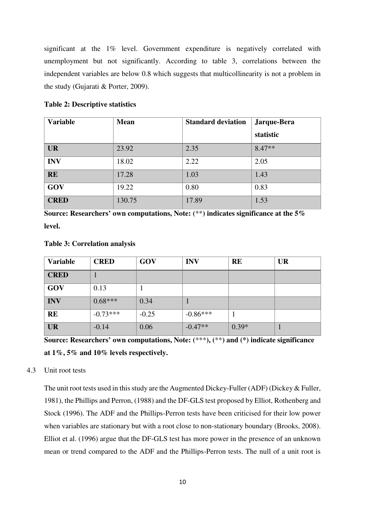significant at the 1% level. Government expenditure is negatively correlated with unemployment but not significantly. According to table 3, correlations between the independent variables are below 0.8 which suggests that multicollinearity is not a problem in the study (Gujarati & Porter, 2009).

| <b>Variable</b> | <b>Mean</b> | <b>Standard deviation</b> | Jarque-Bera |
|-----------------|-------------|---------------------------|-------------|
|                 |             |                           | statistic   |
| <b>UR</b>       | 23.92       | 2.35                      | $8.47**$    |
| <b>INV</b>      | 18.02       | 2.22                      | 2.05        |
| <b>RE</b>       | 17.28       | 1.03                      | 1.43        |
| GOV             | 19.22       | 0.80                      | 0.83        |
| <b>CRED</b>     | 130.75      | 17.89                     | 1.53        |

**Source: Researchers' own computations, Note: (**\*\***) indicates significance at the 5% level.** 

| <b>Variable</b> | <b>CRED</b> | GOV     | <b>INV</b> | <b>RE</b> | <b>UR</b> |
|-----------------|-------------|---------|------------|-----------|-----------|
| <b>CRED</b>     |             |         |            |           |           |
| GOV             | 0.13        | л       |            |           |           |
| <b>INV</b>      | $0.68***$   | 0.34    |            |           |           |
| <b>RE</b>       | $-0.73***$  | $-0.25$ | $-0.86***$ |           |           |
| <b>UR</b>       | $-0.14$     | 0.06    | $-0.47**$  | $0.39*$   | ш         |

**Table 3: Correlation analysis** 

**Source: Researchers' own computations, Note: (**\*\*\***), (**\*\***) and (\*) indicate significance at 1%, 5% and 10% levels respectively.** 

# 4.3 Unit root tests

The unit root tests used in this study are the Augmented Dickey-Fuller (ADF) (Dickey & Fuller, 1981), the Phillips and Perron, (1988) and the DF-GLS test proposed by Elliot, Rothenberg and Stock (1996). The ADF and the Phillips-Perron tests have been criticised for their low power when variables are stationary but with a root close to non-stationary boundary (Brooks, 2008). Elliot et al. (1996) argue that the DF-GLS test has more power in the presence of an unknown mean or trend compared to the ADF and the Phillips-Perron tests. The null of a unit root is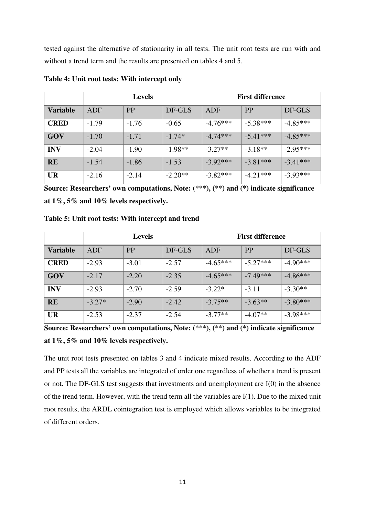tested against the alternative of stationarity in all tests. The unit root tests are run with and without a trend term and the results are presented on tables 4 and 5.

|                 |         | <b>Levels</b> |           |            | <b>First difference</b> |            |
|-----------------|---------|---------------|-----------|------------|-------------------------|------------|
| <b>Variable</b> | ADF     | <b>PP</b>     | DF-GLS    | ADF        | <b>PP</b>               | DF-GLS     |
| <b>CRED</b>     | $-1.79$ | $-1.76$       | $-0.65$   | $-4.76***$ | $-5.38***$              | $-4.85***$ |
| GOV             | $-1.70$ | $-1.71$       | $-1.74*$  | $-4.74***$ | $-5.41***$              | $-4.85***$ |
| <b>INV</b>      | $-2.04$ | $-1.90$       | $-1.98**$ | $-3.27**$  | $-3.18**$               | $-2.95***$ |
| <b>RE</b>       | $-1.54$ | $-1.86$       | $-1.53$   | $-3.92***$ | $-3.81***$              | $-3.41***$ |
| <b>UR</b>       | $-2.16$ | $-2.14$       | $-2.20**$ | $-3.82***$ | $-4.21***$              | $-3.93***$ |

**Table 4: Unit root tests: With intercept only** 

**Source: Researchers' own computations, Note: (**\*\*\***), (**\*\***) and (\*) indicate significance at 1%, 5% and 10% levels respectively.** 

|                 | <b>Levels</b> |           |         | <b>First difference</b> |            |            |
|-----------------|---------------|-----------|---------|-------------------------|------------|------------|
| <b>Variable</b> | ADF           | <b>PP</b> | DF-GLS  | ADF                     | PP         | DF-GLS     |
| <b>CRED</b>     | $-2.93$       | $-3.01$   | $-2.57$ | $-4.65***$              | $-5.27***$ | $-4.90***$ |
| GOV             | $-2.17$       | $-2.20$   | $-2.35$ | $-4.65***$              | $-7.49***$ | $-4.86***$ |
| <b>INV</b>      | $-2.93$       | $-2.70$   | $-2.59$ | $-3.22*$                | $-3.11$    | $-3.30**$  |
| <b>RE</b>       | $-3.27*$      | $-2.90$   | $-2.42$ | $-3.75**$               | $-3.63**$  | $-3.80***$ |
| <b>UR</b>       | $-2.53$       | $-2.37$   | $-2.54$ | $-3.77**$               | $-4.07**$  | $-3.98***$ |

**Table 5: Unit root tests: With intercept and trend** 

The unit root tests presented on tables 3 and 4 indicate mixed results. According to the ADF and PP tests all the variables are integrated of order one regardless of whether a trend is present or not. The DF-GLS test suggests that investments and unemployment are I(0) in the absence of the trend term. However, with the trend term all the variables are I(1). Due to the mixed unit root results, the ARDL cointegration test is employed which allows variables to be integrated of different orders.

**Source: Researchers' own computations, Note: (**\*\*\***), (**\*\***) and (\*) indicate significance at 1%, 5% and 10% levels respectively.**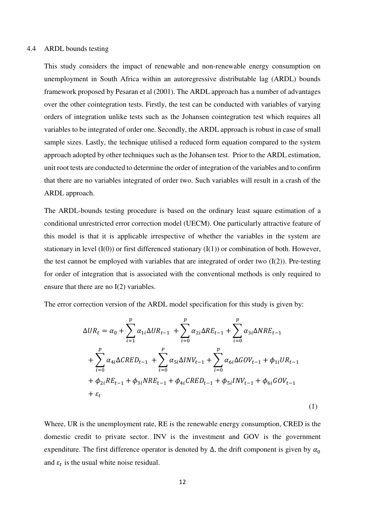#### 4.4 ARDL bounds testing

This study considers the impact of renewable and non-renewable energy consumption on unemployment in South Africa within an autoregressive distributable lag (ARDL) bounds framework proposed by Pesaran et al (2001). The ARDL approach has a number of advantages over the other cointegration tests. Firstly, the test can be conducted with variables of varying orders of integration unlike tests such as the Johansen cointegration test which requires all variables to be integrated of order one. Secondly, the ARDL approach is robust in case of small sample sizes. Lastly, the technique utilised a reduced form equation compared to the system approach adopted by other techniques such as the Johansen test. Prior to the ARDL estimation, unit root tests are conducted to determine the order of integration of the variables and to confirm that there are no variables integrated of order two. Such variables will result in a crash of the ARDL approach.

The ARDL-bounds testing procedure is based on the ordinary least square estimation of a conditional unrestricted error correction model (UECM). One particularly attractive feature of this model is that it is applicable irrespective of whether the variables in the system are stationary in level  $(I(0))$  or first differenced stationary  $(I(1))$  or combination of both. However, the test cannot be employed with variables that are integrated of order two  $(I(2))$ . Pre-testing for order of integration that is associated with the conventional methods is only required to ensure that there are no I(2) variables.

The error correction version of the ARDL model specification for this study is given by:

$$
\Delta UR_{t} = \alpha_{0} + \sum_{i=1}^{p} \alpha_{1i} \Delta UR_{t-1} + \sum_{i=0}^{p} \alpha_{2i} \Delta RE_{t-1} + \sum_{i=0}^{p} \alpha_{3i} \Delta NRE_{t-1} + \sum_{i=0}^{p} \alpha_{4i} \Delta CRED_{t-1} + \sum_{i=0}^{p} \alpha_{5i} \Delta INV_{t-1} + \sum_{i=0}^{p} \alpha_{6i} \Delta GOV_{t-1} + \phi_{1i} UR_{t-1} + \phi_{2i} RE_{t-1} + \phi_{3i} NRE_{t-1} + \phi_{4i} CRED_{t-1} + \phi_{5i} INV_{t-1} + \phi_{6i} GOV_{t-1} + \varepsilon_{t}
$$
\n(1)

Where, UR is the unemployment rate, RE is the renewable energy consumption, CRED is the domestic credit to private sector. INV is the investment and GOV is the government expenditure. The first difference operator is denoted by  $\Delta$ , the drift component is given by  $\alpha_0$ and  $\varepsilon_t$  is the usual white noise residual.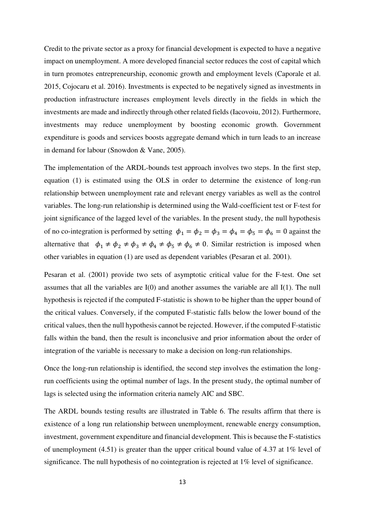Credit to the private sector as a proxy for financial development is expected to have a negative impact on unemployment. A more developed financial sector reduces the cost of capital which in turn promotes entrepreneurship, economic growth and employment levels (Caporale et al. 2015, Cojocaru et al. 2016). Investments is expected to be negatively signed as investments in production infrastructure increases employment levels directly in the fields in which the investments are made and indirectly through other related fields (Iacovoiu, 2012). Furthermore, investments may reduce unemployment by boosting economic growth. Government expenditure is goods and services boosts aggregate demand which in turn leads to an increase in demand for labour (Snowdon & Vane, 2005).

The implementation of the ARDL-bounds test approach involves two steps. In the first step, equation (1) is estimated using the OLS in order to determine the existence of long-run relationship between unemployment rate and relevant energy variables as well as the control variables. The long-run relationship is determined using the Wald-coefficient test or F-test for joint significance of the lagged level of the variables. In the present study, the null hypothesis of no co-integration is performed by setting  $\phi_1 = \phi_2 = \phi_3 = \phi_4 = \phi_5 = \phi_6 = 0$  against the alternative that  $\phi_1 \neq \phi_2 \neq \phi_3 \neq \phi_4 \neq \phi_5 \neq \phi_6 \neq 0$ . Similar restriction is imposed when other variables in equation (1) are used as dependent variables (Pesaran et al. 2001).

Pesaran et al. (2001) provide two sets of asymptotic critical value for the F-test. One set assumes that all the variables are I(0) and another assumes the variable are all I(1). The null hypothesis is rejected if the computed F-statistic is shown to be higher than the upper bound of the critical values. Conversely, if the computed F-statistic falls below the lower bound of the critical values, then the null hypothesis cannot be rejected. However, if the computed F-statistic falls within the band, then the result is inconclusive and prior information about the order of integration of the variable is necessary to make a decision on long-run relationships.

Once the long-run relationship is identified, the second step involves the estimation the longrun coefficients using the optimal number of lags. In the present study, the optimal number of lags is selected using the information criteria namely AIC and SBC.

The ARDL bounds testing results are illustrated in Table 6. The results affirm that there is existence of a long run relationship between unemployment, renewable energy consumption, investment, government expenditure and financial development. This is because the F-statistics of unemployment (4.51) is greater than the upper critical bound value of 4.37 at 1% level of significance. The null hypothesis of no cointegration is rejected at 1% level of significance.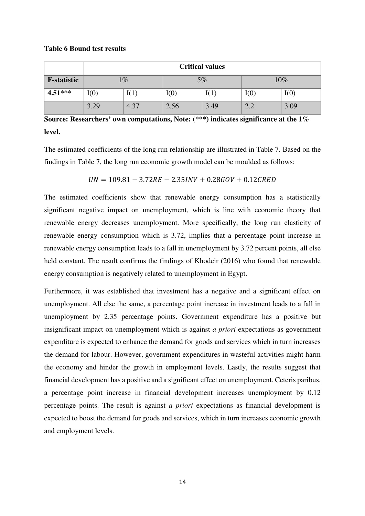#### **Table 6 Bound test results**

|                    | <b>Critical values</b> |                          |      |      |               |      |
|--------------------|------------------------|--------------------------|------|------|---------------|------|
| <b>F-statistic</b> |                        | $\overline{\mathcal{C}}$ |      | 5%   |               | 10%  |
| $4.51***$          | I(0)                   | I(1)                     | I(0) | I(1) | I(0)          | I(0) |
|                    | 3.29                   | 4.37                     | 2.56 | 3.49 | $\cap$ $\cap$ | 3.09 |

**Source: Researchers' own computations, Note: (**\*\*\***) indicates significance at the 1% level.** 

The estimated coefficients of the long run relationship are illustrated in Table 7. Based on the findings in Table 7, the long run economic growth model can be moulded as follows:

 $UN = 109.81 - 3.72RE - 2.35INV + 0.28GOV + 0.12CRED$ 

The estimated coefficients show that renewable energy consumption has a statistically significant negative impact on unemployment, which is line with economic theory that renewable energy decreases unemployment. More specifically, the long run elasticity of renewable energy consumption which is 3.72, implies that a percentage point increase in renewable energy consumption leads to a fall in unemployment by 3.72 percent points, all else held constant. The result confirms the findings of Khodeir (2016) who found that renewable energy consumption is negatively related to unemployment in Egypt.

Furthermore, it was established that investment has a negative and a significant effect on unemployment. All else the same, a percentage point increase in investment leads to a fall in unemployment by 2.35 percentage points. Government expenditure has a positive but insignificant impact on unemployment which is against *a priori* expectations as government expenditure is expected to enhance the demand for goods and services which in turn increases the demand for labour. However, government expenditures in wasteful activities might harm the economy and hinder the growth in employment levels. Lastly, the results suggest that financial development has a positive and a significant effect on unemployment. Ceteris paribus, a percentage point increase in financial development increases unemployment by 0.12 percentage points. The result is against *a priori* expectations as financial development is expected to boost the demand for goods and services, which in turn increases economic growth and employment levels.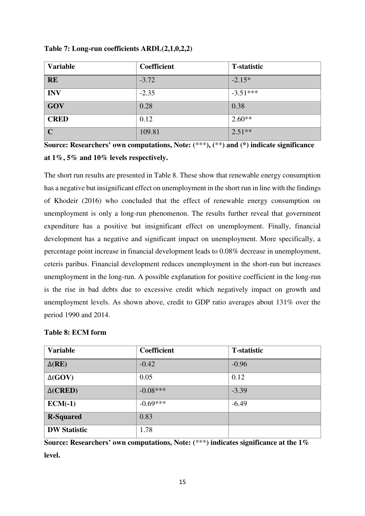| <b>Variable</b> | Coefficient | <b>T-statistic</b> |
|-----------------|-------------|--------------------|
| <b>RE</b>       | $-3.72$     | $-2.15*$           |
| <b>INV</b>      | $-2.35$     | $-3.51***$         |
| GOV             | 0.28        | 0.38               |
| <b>CRED</b>     | 0.12        | $2.60**$           |
| $\mathbf C$     | 109.81      | $2.51**$           |

**Table 7: Long-run coefficients ARDL(2,1,0,2,2)** 

**Source: Researchers' own computations, Note: (**\*\*\***), (**\*\***) and (\*) indicate significance at 1%, 5% and 10% levels respectively.** 

The short run results are presented in Table 8. These show that renewable energy consumption has a negative but insignificant effect on unemployment in the short run in line with the findings of Khodeir (2016) who concluded that the effect of renewable energy consumption on unemployment is only a long-run phenomenon. The results further reveal that government expenditure has a positive but insignificant effect on unemployment. Finally, financial development has a negative and significant impact on unemployment. More specifically, a percentage point increase in financial development leads to 0.08% decrease in unemployment, ceteris paribus. Financial development reduces unemployment in the short-run but increases unemployment in the long-run. A possible explanation for positive coefficient in the long-run is the rise in bad debts due to excessive credit which negatively impact on growth and unemployment levels. As shown above, credit to GDP ratio averages about 131% over the period 1990 and 2014.

| <b>Variable</b>     | <b>Coefficient</b> | <b>T</b> -statistic |
|---------------------|--------------------|---------------------|
| $\Delta(\text{RE})$ | $-0.42$            | $-0.96$             |
| $\Delta(GOV)$       | 0.05               | 0.12                |
| $\Delta$ (CRED)     | $-0.08***$         | $-3.39$             |
| $ECM(-1)$           | $-0.69***$         | $-6.49$             |
| <b>R-Squared</b>    | 0.83               |                     |
| <b>DW Statistic</b> | 1.78               |                     |

# **Table 8: ECM form**

**Source: Researchers' own computations, Note: (**\*\*\***) indicates significance at the 1% level.**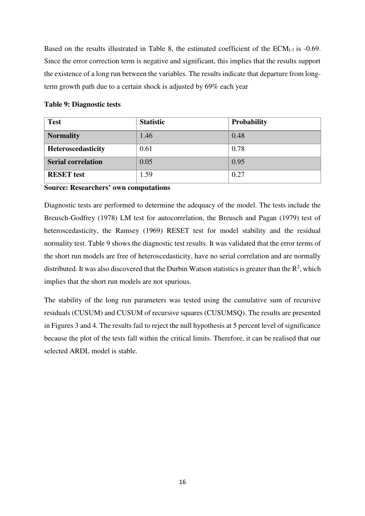Based on the results illustrated in Table 8, the estimated coefficient of the  $ECM_{t-1}$  is -0.69. Since the error correction term is negative and significant, this implies that the results support the existence of a long run between the variables. The results indicate that departure from longterm growth path due to a certain shock is adjusted by 69% each year

# **Table 9: Diagnostic tests**

| <b>Test</b>               | <b>Statistic</b> | <b>Probability</b> |
|---------------------------|------------------|--------------------|
| <b>Normality</b>          | 1.46             | 0.48               |
| Heteroscedasticity        | 0.61             | 0.78               |
| <b>Serial correlation</b> | 0.05             | 0.95               |
| <b>RESET</b> test         | 1.59             | 0.27               |

**Source: Researchers' own computations** 

Diagnostic tests are performed to determine the adequacy of the model. The tests include the Breusch-Godfrey (1978) LM test for autocorrelation, the Breusch and Pagan (1979) test of heteroscedasticity, the Ramsey (1969) RESET test for model stability and the residual normality test. Table 9 shows the diagnostic test results. It was validated that the error terms of the short run models are free of heteroscedasticity, have no serial correlation and are normally distributed. It was also discovered that the Durbin Watson statistics is greater than the  $\mathbb{R}^2$ , which implies that the short run models are not spurious.

The stability of the long run parameters was tested using the cumulative sum of recursive residuals (CUSUM) and CUSUM of recursive squares (CUSUMSQ). The results are presented in Figures 3 and 4. The results fail to reject the null hypothesis at 5 percent level of significance because the plot of the tests fall within the critical limits. Therefore, it can be realised that our selected ARDL model is stable.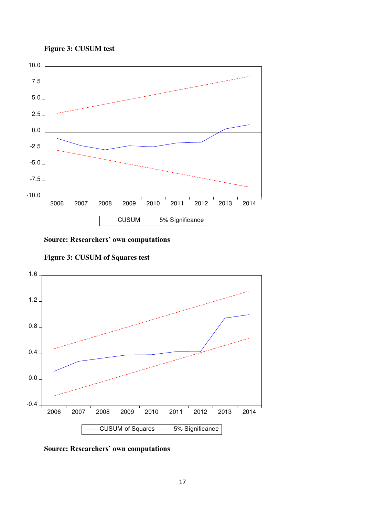



**Source: Researchers' own computations**





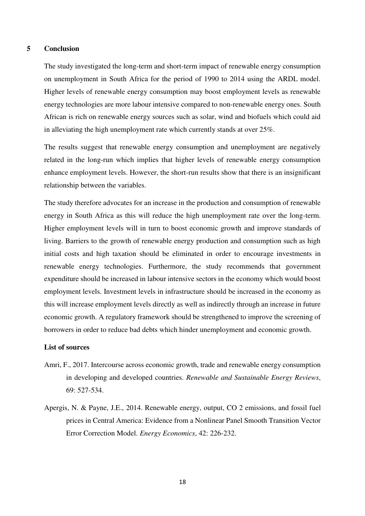#### **5 Conclusion**

The study investigated the long-term and short-term impact of renewable energy consumption on unemployment in South Africa for the period of 1990 to 2014 using the ARDL model. Higher levels of renewable energy consumption may boost employment levels as renewable energy technologies are more labour intensive compared to non-renewable energy ones. South African is rich on renewable energy sources such as solar, wind and biofuels which could aid in alleviating the high unemployment rate which currently stands at over 25%.

The results suggest that renewable energy consumption and unemployment are negatively related in the long-run which implies that higher levels of renewable energy consumption enhance employment levels. However, the short-run results show that there is an insignificant relationship between the variables.

The study therefore advocates for an increase in the production and consumption of renewable energy in South Africa as this will reduce the high unemployment rate over the long-term. Higher employment levels will in turn to boost economic growth and improve standards of living. Barriers to the growth of renewable energy production and consumption such as high initial costs and high taxation should be eliminated in order to encourage investments in renewable energy technologies. Furthermore, the study recommends that government expenditure should be increased in labour intensive sectors in the economy which would boost employment levels. Investment levels in infrastructure should be increased in the economy as this will increase employment levels directly as well as indirectly through an increase in future economic growth. A regulatory framework should be strengthened to improve the screening of borrowers in order to reduce bad debts which hinder unemployment and economic growth.

## **List of sources**

- Amri, F., 2017. Intercourse across economic growth, trade and renewable energy consumption in developing and developed countries. *Renewable and Sustainable Energy Reviews*, 69: 527-534.
- Apergis, N. & Payne, J.E., 2014. Renewable energy, output, CO 2 emissions, and fossil fuel prices in Central America: Evidence from a Nonlinear Panel Smooth Transition Vector Error Correction Model. *Energy Economics*, 42: 226-232.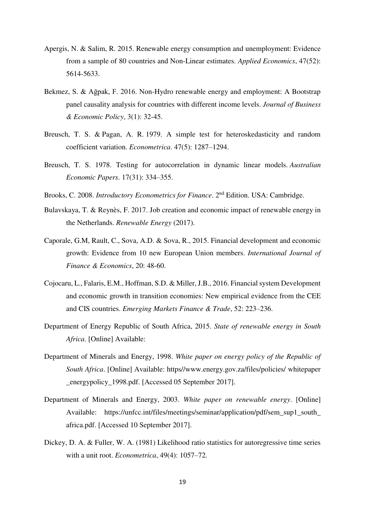- Apergis, N. & Salim, R. 2015. Renewable energy consumption and unemployment: Evidence from a sample of 80 countries and Non-Linear estimates. *Applied Economics*, 47(52): 5614-5633.
- Bekmez, S. & Ağpak, F. 2016. Non-Hydro renewable energy and employment: A Bootstrap panel causality analysis for countries with different income levels. *Journal of Business & Economic Policy*, 3(1): 32-45.
- [Breusch, T. S.](https://en.wikipedia.org/wiki/Trevor_Breusch) & [Pagan, A. R.](https://en.wikipedia.org/wiki/Adrian_Pagan) 1979. A simple test for heteroskedasticity and random coefficient variation. *[Econometrica](https://en.wikipedia.org/wiki/Econometrica)*. 47(5): 1287–1294.
- Breusch, T. S. 1978. Testing for autocorrelation in dynamic linear models. *Australian Economic Papers*. 17(31): 334–355.
- Brooks, C. 2008. *Introductory Econometrics for Finance*. 2nd Edition. USA: Cambridge.
- Bulavskaya, T. & Reynès, F. 2017. Job creation and economic impact of renewable energy in the Netherlands. *Renewable Energy* (2017).
- Caporale, G.M, Rault, C., Sova, A.D. & Sova, R., 2015. Financial development and economic growth: Evidence from 10 new European Union members. *International Journal of Finance & Economics*, 20: 48-60.
- Cojocaru, L., Falaris, E.M., Hoffman, S.D. & Miller, J.B., 2016. Financial system Development and economic growth in transition economies: New empirical evidence from the CEE and CIS countries. *Emerging Markets Finance & Trade*, 52: 223–236.
- Department of Energy Republic of South Africa, 2015. *State of renewable energy in South Africa*. [Online] Available:
- Department of Minerals and Energy, 1998. *White paper on energy policy of the Republic of South Africa*. [Online] Available: https//www.energy.gov.za/files/policies/ whitepaper \_energypolicy\_1998.pdf. [Accessed 05 September 2017].
- Department of Minerals and Energy, 2003. *White paper on renewable energy*. [Online] Available: https://unfcc.int/files/meetings/seminar/application/pdf/sem\_sup1\_south africa.pdf. [Accessed 10 September 2017].
- Dickey, D. A. & Fuller, W. A. (1981) Likelihood ratio statistics for autoregressive time series with a unit root. *Econometrica*, 49(4): 1057–72.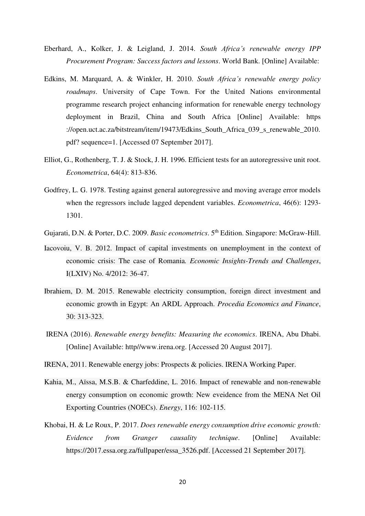- Eberhard, A., Kolker, J. & Leigland, J. 2014. *South Africa's renewable energy IPP Procurement Program: Success factors and lessons*. World Bank. [Online] Available:
- Edkins, M. Marquard, A. & Winkler, H. 2010. *South Africa's renewable energy policy roadmaps*. University of Cape Town. For the United Nations environmental programme research project enhancing information for renewable energy technology deployment in Brazil, China and South Africa [Online] Available: https ://open.uct.ac.za/bitstream/item/19473/Edkins\_South\_Africa\_039\_s\_renewable\_2010. pdf? sequence=1. [Accessed 07 September 2017].
- Elliot, G., Rothenberg, T. J. & Stock, J. H. 1996. Efficient tests for an autoregressive unit root. *Econometrica*, 64(4): 813-836.
- Godfrey, L. G. 1978. Testing against general autoregressive and moving average error models when the regressors include lagged dependent variables. *Econometrica*, 46(6): 1293- 1301.
- Gujarati, D.N. & Porter, D.C. 2009. *Basic econometrics*. 5th Edition. Singapore: McGraw-Hill.
- Iacovoiu, V. B. 2012. Impact of capital investments on unemployment in the context of economic crisis: The case of Romania*. Economic Insights-Trends and Challenges*, I(LXIV) No. 4/2012: 36-47.
- Ibrahiem, D. M. 2015. Renewable electricity consumption, foreign direct investment and economic growth in Egypt: An ARDL Approach. *Procedia Economics and Finance*, 30: 313-323.
- IRENA (2016). *Renewable energy benefits: Measuring the economics*. IRENA, Abu Dhabi. [Online] Available: http//www.irena.org. [Accessed 20 August 2017].
- IRENA, 2011. Renewable energy jobs: Prospects & policies. IRENA Working Paper.
- Kahia, M., Aïssa, M.S.B. & Charfeddine, L. 2016. Impact of renewable and non-renewable energy consumption on economic growth: New eveidence from the MENA Net Oil Exporting Countries (NOECs). *Energy*, 116: 102-115.
- Khobai, H. & Le Roux, P. 2017. *Does renewable energy consumption drive economic growth: Evidence from Granger causality technique*. [Online] Available: [https://2017.essa.org.za/fullpaper/essa\\_3526.pdf.](https://2017.essa.org.za/fullpaper/essa_3526.pdf) [Accessed 21 September 2017].